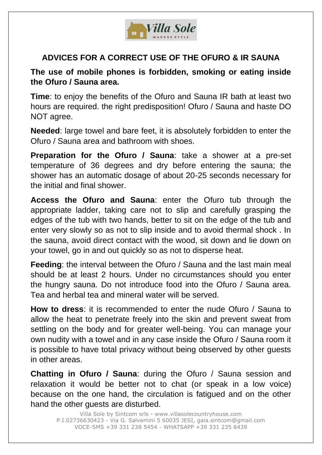

## **ADVICES FOR A CORRECT USE OF THE OFURO & IR SAUNA**

## **The use of mobile phones is forbidden, smoking or eating inside the Ofuro / Sauna area.**

**Time**: to enjoy the benefits of the Ofuro and Sauna IR bath at least two hours are required. the right predisposition! Ofuro / Sauna and haste DO NOT agree.

**Needed**: large towel and bare feet, it is absolutely forbidden to enter the Ofuro / Sauna area and bathroom with shoes.

**Preparation for the Ofuro / Sauna**: take a shower at a pre-set temperature of 36 degrees and dry before entering the sauna; the shower has an automatic dosage of about 20-25 seconds necessary for the initial and final shower.

**Access the Ofuro and Sauna**: enter the Ofuro tub through the appropriate ladder, taking care not to slip and carefully grasping the edges of the tub with two hands, better to sit on the edge of the tub and enter very slowly so as not to slip inside and to avoid thermal shock . In the sauna, avoid direct contact with the wood, sit down and lie down on your towel, go in and out quickly so as not to disperse heat.

**Feeding**: the interval between the Ofuro / Sauna and the last main meal should be at least 2 hours. Under no circumstances should you enter the hungry sauna. Do not introduce food into the Ofuro / Sauna area. Tea and herbal tea and mineral water will be served.

**How to dress**: it is recommended to enter the nude Ofuro / Sauna to allow the heat to penetrate freely into the skin and prevent sweat from settling on the body and for greater well-being. You can manage your own nudity with a towel and in any case inside the Ofuro / Sauna room it is possible to have total privacy without being observed by other guests in other areas.

**Chatting in Ofuro / Sauna**: during the Ofuro / Sauna session and relaxation it would be better not to chat (or speak in a low voice) because on the one hand, the circulation is fatigued and on the other hand the other guests are disturbed.